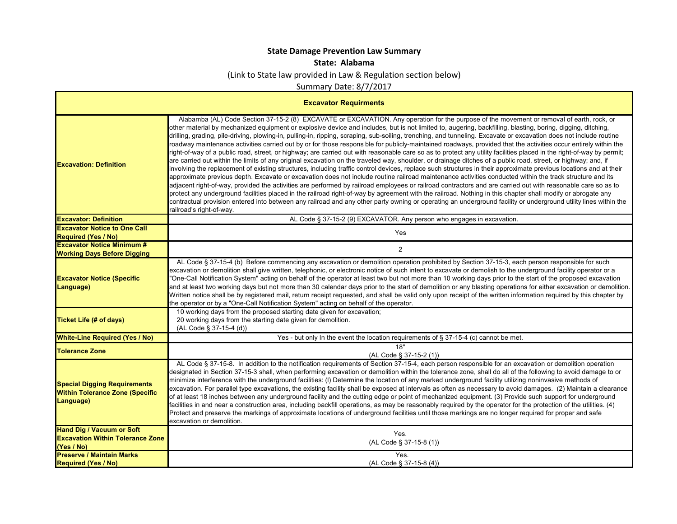## **State Damage Prevention Law Summary**

## **State: Alabama**

(Link to State law provided in Law & Regulation section below)

Summary Date: 8/7/2017

| <b>Excavator Requirments</b>                                                               |                                                                                                                                                                                                                                                                                                                                                                                                                                                                                                                                                                                                                                                                                                                                                                                                                                                                                                                                                                                                                                                                                                                                                                                                                                                                                                                                                                                                                                                                                                                                                                                                                                                                                                                                                                                                                                                             |
|--------------------------------------------------------------------------------------------|-------------------------------------------------------------------------------------------------------------------------------------------------------------------------------------------------------------------------------------------------------------------------------------------------------------------------------------------------------------------------------------------------------------------------------------------------------------------------------------------------------------------------------------------------------------------------------------------------------------------------------------------------------------------------------------------------------------------------------------------------------------------------------------------------------------------------------------------------------------------------------------------------------------------------------------------------------------------------------------------------------------------------------------------------------------------------------------------------------------------------------------------------------------------------------------------------------------------------------------------------------------------------------------------------------------------------------------------------------------------------------------------------------------------------------------------------------------------------------------------------------------------------------------------------------------------------------------------------------------------------------------------------------------------------------------------------------------------------------------------------------------------------------------------------------------------------------------------------------------|
| <b>Excavation: Definition</b>                                                              | Alabamba (AL) Code Section 37-15-2 (8) EXCAVATE or EXCAVATION. Any operation for the purpose of the movement or removal of earth, rock, or<br>other material by mechanized equipment or explosive device and includes, but is not limited to, augering, backfilling, blasting, boring, digging, ditching,<br>drilling, grading, pile-driving, plowing-in, pulling-in, ripping, scraping, sub-soiling, trenching, and tunneling. Excavate or excavation does not include routine<br>roadway maintenance activities carried out by or for those respons ble for publicly-maintained roadways, provided that the activities occur entirely within the<br>right-of-way of a public road, street, or highway; are carried out with reasonable care so as to protect any utility facilities placed in the right-of-way by permit;<br>are carried out within the limits of any original excavation on the traveled way, shoulder, or drainage ditches of a public road, street, or highway; and, if<br>involving the replacement of existing structures, including traffic control devices, replace such structures in their approximate previous locations and at their<br>approximate previous depth. Excavate or excavation does not include routine railroad maintenance activities conducted within the track structure and its<br>adjacent right-of-way, provided the activities are performed by railroad employees or railroad contractors and are carried out with reasonable care so as to<br>protect any underground facilities placed in the railroad right-of-way by agreement with the railroad. Nothing in this chapter shall modify or abrogate any<br>contractual provision entered into between any railroad and any other party owning or operating an underground facility or underground utility lines within the<br>railroad's right-of-way. |
| <b>Excavator: Definition</b>                                                               | AL Code § 37-15-2 (9) EXCAVATOR. Any person who engages in excavation.                                                                                                                                                                                                                                                                                                                                                                                                                                                                                                                                                                                                                                                                                                                                                                                                                                                                                                                                                                                                                                                                                                                                                                                                                                                                                                                                                                                                                                                                                                                                                                                                                                                                                                                                                                                      |
| <b>Excavator Notice to One Call</b><br><b>Required (Yes / No)</b>                          | Yes                                                                                                                                                                                                                                                                                                                                                                                                                                                                                                                                                                                                                                                                                                                                                                                                                                                                                                                                                                                                                                                                                                                                                                                                                                                                                                                                                                                                                                                                                                                                                                                                                                                                                                                                                                                                                                                         |
| <b>Excavator Notice Minimum #</b><br><b>Working Days Before Digging</b>                    | 2                                                                                                                                                                                                                                                                                                                                                                                                                                                                                                                                                                                                                                                                                                                                                                                                                                                                                                                                                                                                                                                                                                                                                                                                                                                                                                                                                                                                                                                                                                                                                                                                                                                                                                                                                                                                                                                           |
| <b>Excavator Notice (Specific</b><br>Language)                                             | AL Code § 37-15-4 (b) Before commencing any excavation or demolition operation prohibited by Section 37-15-3, each person responsible for such<br>excavation or demolition shall give written, telephonic, or electronic notice of such intent to excavate or demolish to the underground facility operator or a<br>"One-Call Notification System" acting on behalf of the operator at least two but not more than 10 working days prior to the start of the proposed excavation<br>and at least two working days but not more than 30 calendar days prior to the start of demolition or any blasting operations for either excavation or demolition.<br>Written notice shall be by registered mail, return receipt requested, and shall be valid only upon receipt of the written information required by this chapter by<br>the operator or by a "One-Call Notification System" acting on behalf of the operator.                                                                                                                                                                                                                                                                                                                                                                                                                                                                                                                                                                                                                                                                                                                                                                                                                                                                                                                                         |
| Ticket Life (# of days)                                                                    | 10 working days from the proposed starting date given for excavation;<br>20 working days from the starting date given for demolition.<br>(AL Code § 37-15-4 (d))                                                                                                                                                                                                                                                                                                                                                                                                                                                                                                                                                                                                                                                                                                                                                                                                                                                                                                                                                                                                                                                                                                                                                                                                                                                                                                                                                                                                                                                                                                                                                                                                                                                                                            |
| <b>White-Line Required (Yes / No)</b>                                                      | Yes - but only In the event the location requirements of § 37-15-4 (c) cannot be met.                                                                                                                                                                                                                                                                                                                                                                                                                                                                                                                                                                                                                                                                                                                                                                                                                                                                                                                                                                                                                                                                                                                                                                                                                                                                                                                                                                                                                                                                                                                                                                                                                                                                                                                                                                       |
| <b>Tolerance Zone</b>                                                                      | 18"<br>(AL Code § 37-15-2 (1))                                                                                                                                                                                                                                                                                                                                                                                                                                                                                                                                                                                                                                                                                                                                                                                                                                                                                                                                                                                                                                                                                                                                                                                                                                                                                                                                                                                                                                                                                                                                                                                                                                                                                                                                                                                                                              |
| <b>Special Digging Requirements</b><br><b>Within Tolerance Zone (Specific</b><br>Language) | AL Code § 37-15-8. In addition to the notification requirements of Section 37-15-4, each person responsible for an excavation or demolition operation<br>designated in Section 37-15-3 shall, when performing excavation or demolition within the tolerance zone, shall do all of the following to avoid damage to or<br>minimize interference with the underground facilities: (I) Determine the location of any marked underground facility utilizing noninvasive methods of<br>excavation. For parallel type excavations, the existing facility shall be exposed at intervals as often as necessary to avoid damages. (2) Maintain a clearance<br>of at least 18 inches between any underground facility and the cutting edge or point of mechanized equipment. (3) Provide such support for underground<br>facilities in and near a construction area, including backfill operations, as may be reasonably required by the operator for the protection of the utilities. (4)<br>Protect and preserve the markings of approximate locations of underground facilities until those markings are no longer required for proper and safe<br>excavation or demolition.                                                                                                                                                                                                                                                                                                                                                                                                                                                                                                                                                                                                                                                                                       |
| <b>Hand Dig / Vacuum or Soft</b><br><b>Excavation Within Tolerance Zone</b><br>(Yes / No)  | Yes.<br>(AL Code § 37-15-8 (1))                                                                                                                                                                                                                                                                                                                                                                                                                                                                                                                                                                                                                                                                                                                                                                                                                                                                                                                                                                                                                                                                                                                                                                                                                                                                                                                                                                                                                                                                                                                                                                                                                                                                                                                                                                                                                             |
| <b>Preserve / Maintain Marks</b><br><b>Required (Yes / No)</b>                             | Yes.<br>(AL Code § 37-15-8 (4))                                                                                                                                                                                                                                                                                                                                                                                                                                                                                                                                                                                                                                                                                                                                                                                                                                                                                                                                                                                                                                                                                                                                                                                                                                                                                                                                                                                                                                                                                                                                                                                                                                                                                                                                                                                                                             |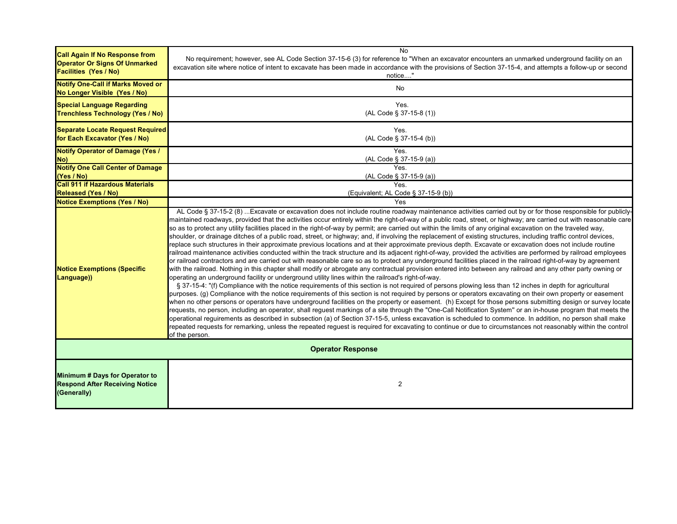| <b>Call Again If No Response from</b><br><b>Operator Or Signs Of Unmarked</b><br><b>Facilities (Yes / No)</b> | No<br>No requirement; however, see AL Code Section 37-15-6 (3) for reference to "When an excavator encounters an unmarked underground facility on an<br>excavation site where notice of intent to excavate has been made in accordance with the provisions of Section 37-15-4, and attempts a follow-up or second<br>notice"                                                                                                                                                                                                                                                                                                                                                                                                                                                                                                                                                                                                                                                                                                                                                                                                                                                                                                                                                                                                                                                                                                                                                                                                                                                                                                                                                                                                                                                                                                                                                                                                                                                                                                                                                                                                                                                                                                                                                                                                                                                                                                                               |
|---------------------------------------------------------------------------------------------------------------|------------------------------------------------------------------------------------------------------------------------------------------------------------------------------------------------------------------------------------------------------------------------------------------------------------------------------------------------------------------------------------------------------------------------------------------------------------------------------------------------------------------------------------------------------------------------------------------------------------------------------------------------------------------------------------------------------------------------------------------------------------------------------------------------------------------------------------------------------------------------------------------------------------------------------------------------------------------------------------------------------------------------------------------------------------------------------------------------------------------------------------------------------------------------------------------------------------------------------------------------------------------------------------------------------------------------------------------------------------------------------------------------------------------------------------------------------------------------------------------------------------------------------------------------------------------------------------------------------------------------------------------------------------------------------------------------------------------------------------------------------------------------------------------------------------------------------------------------------------------------------------------------------------------------------------------------------------------------------------------------------------------------------------------------------------------------------------------------------------------------------------------------------------------------------------------------------------------------------------------------------------------------------------------------------------------------------------------------------------------------------------------------------------------------------------------------------------|
| <b>Notify One-Call if Marks Moved or</b><br>No Longer Visible (Yes / No)                                      | No                                                                                                                                                                                                                                                                                                                                                                                                                                                                                                                                                                                                                                                                                                                                                                                                                                                                                                                                                                                                                                                                                                                                                                                                                                                                                                                                                                                                                                                                                                                                                                                                                                                                                                                                                                                                                                                                                                                                                                                                                                                                                                                                                                                                                                                                                                                                                                                                                                                         |
| <b>Special Language Regarding</b><br><b>Trenchless Technology (Yes / No)</b>                                  | Yes.<br>(AL Code § 37-15-8 (1))                                                                                                                                                                                                                                                                                                                                                                                                                                                                                                                                                                                                                                                                                                                                                                                                                                                                                                                                                                                                                                                                                                                                                                                                                                                                                                                                                                                                                                                                                                                                                                                                                                                                                                                                                                                                                                                                                                                                                                                                                                                                                                                                                                                                                                                                                                                                                                                                                            |
| Separate Locate Request Required<br>for Each Excavator (Yes / No)                                             | Yes.<br>(AL Code § 37-15-4 (b))                                                                                                                                                                                                                                                                                                                                                                                                                                                                                                                                                                                                                                                                                                                                                                                                                                                                                                                                                                                                                                                                                                                                                                                                                                                                                                                                                                                                                                                                                                                                                                                                                                                                                                                                                                                                                                                                                                                                                                                                                                                                                                                                                                                                                                                                                                                                                                                                                            |
| <b>Notify Operator of Damage (Yes /</b><br>No)                                                                | Yes.<br>(AL Code § 37-15-9 (a))                                                                                                                                                                                                                                                                                                                                                                                                                                                                                                                                                                                                                                                                                                                                                                                                                                                                                                                                                                                                                                                                                                                                                                                                                                                                                                                                                                                                                                                                                                                                                                                                                                                                                                                                                                                                                                                                                                                                                                                                                                                                                                                                                                                                                                                                                                                                                                                                                            |
| <b>Notify One Call Center of Damage</b><br>(Yes / No)                                                         | Yes.<br>(AL Code § 37-15-9 (a))                                                                                                                                                                                                                                                                                                                                                                                                                                                                                                                                                                                                                                                                                                                                                                                                                                                                                                                                                                                                                                                                                                                                                                                                                                                                                                                                                                                                                                                                                                                                                                                                                                                                                                                                                                                                                                                                                                                                                                                                                                                                                                                                                                                                                                                                                                                                                                                                                            |
| <b>Call 911 if Hazardous Materials</b><br><b>Released (Yes / No)</b>                                          | <b>Yes</b><br>(Equivalent; AL Code § 37-15-9 (b))                                                                                                                                                                                                                                                                                                                                                                                                                                                                                                                                                                                                                                                                                                                                                                                                                                                                                                                                                                                                                                                                                                                                                                                                                                                                                                                                                                                                                                                                                                                                                                                                                                                                                                                                                                                                                                                                                                                                                                                                                                                                                                                                                                                                                                                                                                                                                                                                          |
| <b>Notice Exemptions (Yes / No)</b>                                                                           | Yes                                                                                                                                                                                                                                                                                                                                                                                                                                                                                                                                                                                                                                                                                                                                                                                                                                                                                                                                                                                                                                                                                                                                                                                                                                                                                                                                                                                                                                                                                                                                                                                                                                                                                                                                                                                                                                                                                                                                                                                                                                                                                                                                                                                                                                                                                                                                                                                                                                                        |
| <b>Notice Exemptions (Specific</b><br>Language))                                                              | AL Code § 37-15-2 (8)  Excavate or excavation does not include routine roadway maintenance activities carried out by or for those responsible for publicly-<br>maintained roadways, provided that the activities occur entirely within the right-of-way of a public road, street, or highway; are carried out with reasonable care<br>so as to protect any utility facilities placed in the right-of-way by permit; are carried out within the limits of any original excavation on the traveled way,<br>shoulder, or drainage ditches of a public road, street, or highway; and, if involving the replacement of existing structures, including traffic control devices,<br>replace such structures in their approximate previous locations and at their approximate previous depth. Excavate or excavation does not include routine<br>railroad maintenance activities conducted within the track structure and its adjacent right-of-way, provided the activities are performed by railroad employees<br>or railroad contractors and are carried out with reasonable care so as to protect any underground facilities placed in the railroad right-of-way by agreement<br>with the railroad. Nothing in this chapter shall modify or abrogate any contractual provision entered into between any railroad and any other party owning or<br>operating an underground facility or underground utility lines within the railroad's right-of-way.<br>§ 37-15-4: "(f) Compliance with the notice requirements of this section is not required of persons plowing less than 12 inches in depth for agricultural<br>purposes. (g) Compliance with the notice requirements of this section is not required by persons or operators excavating on their own property or easement<br>when no other persons or operators have underground facilities on the property or easement. (h) Except for those persons submitting design or survey locate<br>requests, no person, including an operator, shall reguest markings of a site through the "One-Call Notification System" or an in-house program that meets the<br>operational requirements as described in subsection (a) of Section 37-15-5, unless excavation is scheduled to commence. In addition, no person shall make<br>repeated requests for remarking, unless the repeated reguest is required for excavating to continue or due to circumstances not reasonably within the control<br>of the person. |
| <b>Operator Response</b>                                                                                      |                                                                                                                                                                                                                                                                                                                                                                                                                                                                                                                                                                                                                                                                                                                                                                                                                                                                                                                                                                                                                                                                                                                                                                                                                                                                                                                                                                                                                                                                                                                                                                                                                                                                                                                                                                                                                                                                                                                                                                                                                                                                                                                                                                                                                                                                                                                                                                                                                                                            |
| Minimum # Days for Operator to<br><b>Respond After Receiving Notice</b><br>(Generally)                        | $\overline{2}$                                                                                                                                                                                                                                                                                                                                                                                                                                                                                                                                                                                                                                                                                                                                                                                                                                                                                                                                                                                                                                                                                                                                                                                                                                                                                                                                                                                                                                                                                                                                                                                                                                                                                                                                                                                                                                                                                                                                                                                                                                                                                                                                                                                                                                                                                                                                                                                                                                             |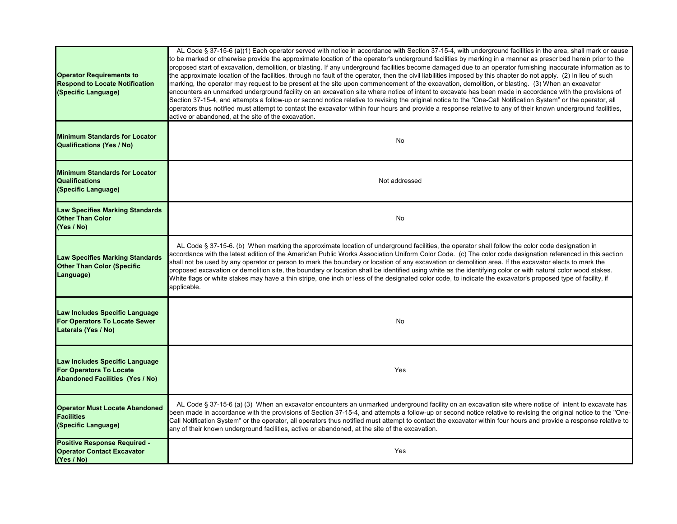| <b>Operator Requirements to</b><br><b>Respond to Locate Notification</b><br>(Specific Language)            | AL Code § 37-15-6 (a)(1) Each operator served with notice in accordance with Section 37-15-4, with underground facilities in the area, shall mark or cause<br>to be marked or otherwise provide the approximate location of the operator's underground facilities by marking in a manner as prescr bed herein prior to the<br>proposed start of excavation, demolition, or blasting. If any underground facilities become damaged due to an operator furnishing inaccurate information as to<br>the approximate location of the facilities, through no fault of the operator, then the civil liabilities imposed by this chapter do not apply. (2) In lieu of such<br>marking, the operator may request to be present at the site upon commencement of the excavation, demolition, or blasting. (3) When an excavator<br>encounters an unmarked underground facility on an excavation site where notice of intent to excavate has been made in accordance with the provisions of<br>Section 37-15-4, and attempts a follow-up or second notice relative to revising the original notice to the "One-Call Notification System" or the operator, all<br>operators thus notified must attempt to contact the excavator within four hours and provide a response relative to any of their known underground facilities,<br>active or abandoned, at the site of the excavation. |
|------------------------------------------------------------------------------------------------------------|----------------------------------------------------------------------------------------------------------------------------------------------------------------------------------------------------------------------------------------------------------------------------------------------------------------------------------------------------------------------------------------------------------------------------------------------------------------------------------------------------------------------------------------------------------------------------------------------------------------------------------------------------------------------------------------------------------------------------------------------------------------------------------------------------------------------------------------------------------------------------------------------------------------------------------------------------------------------------------------------------------------------------------------------------------------------------------------------------------------------------------------------------------------------------------------------------------------------------------------------------------------------------------------------------------------------------------------------------------------------------|
| <b>Minimum Standards for Locator</b><br>Qualifications (Yes / No)                                          | <b>No</b>                                                                                                                                                                                                                                                                                                                                                                                                                                                                                                                                                                                                                                                                                                                                                                                                                                                                                                                                                                                                                                                                                                                                                                                                                                                                                                                                                                  |
| <b>Minimum Standards for Locator</b><br><b>Qualifications</b><br>(Specific Language)                       | Not addressed                                                                                                                                                                                                                                                                                                                                                                                                                                                                                                                                                                                                                                                                                                                                                                                                                                                                                                                                                                                                                                                                                                                                                                                                                                                                                                                                                              |
| <b>Law Specifies Marking Standards</b><br><b>Other Than Color</b><br>(Yes / No)                            | No                                                                                                                                                                                                                                                                                                                                                                                                                                                                                                                                                                                                                                                                                                                                                                                                                                                                                                                                                                                                                                                                                                                                                                                                                                                                                                                                                                         |
| <b>Law Specifies Marking Standards</b><br><b>Other Than Color (Specific</b><br>Language)                   | AL Code § 37-15-6. (b) When marking the approximate location of underground facilities, the operator shall follow the color code designation in<br>accordance with the latest edition of the Americ'an Public Works Association Uniform Color Code. (c) The color code designation referenced in this section<br>shall not be used by any operator or person to mark the boundary or location of any excavation or demolition area. If the excavator elects to mark the<br>proposed excavation or demolition site, the boundary or location shall be identified using white as the identifying color or with natural color wood stakes.<br>White flags or white stakes may have a thin stripe, one inch or less of the designated color code, to indicate the excavator's proposed type of facility, if<br>applicable.                                                                                                                                                                                                                                                                                                                                                                                                                                                                                                                                                     |
| Law Includes Specific Language<br><b>For Operators To Locate Sewer</b><br>Laterals (Yes / No)              | No                                                                                                                                                                                                                                                                                                                                                                                                                                                                                                                                                                                                                                                                                                                                                                                                                                                                                                                                                                                                                                                                                                                                                                                                                                                                                                                                                                         |
| Law Includes Specific Language<br><b>For Operators To Locate</b><br><b>Abandoned Facilities (Yes / No)</b> | Yes                                                                                                                                                                                                                                                                                                                                                                                                                                                                                                                                                                                                                                                                                                                                                                                                                                                                                                                                                                                                                                                                                                                                                                                                                                                                                                                                                                        |
| <b>Operator Must Locate Abandoned</b><br><b>Facilities</b><br>(Specific Language)                          | AL Code § 37-15-6 (a) (3) When an excavator encounters an unmarked underground facility on an excavation site where notice of intent to excavate has<br>been made in accordance with the provisions of Section 37-15-4, and attempts a follow-up or second notice relative to revising the original notice to the "One-<br>Call Notification System" or the operator, all operators thus notified must attempt to contact the excavator within four hours and provide a response relative to<br>any of their known underground facilities, active or abandoned, at the site of the excavation.                                                                                                                                                                                                                                                                                                                                                                                                                                                                                                                                                                                                                                                                                                                                                                             |
| <b>Positive Response Required -</b><br><b>Operator Contact Excavator</b><br>(Yes / No)                     | Yes                                                                                                                                                                                                                                                                                                                                                                                                                                                                                                                                                                                                                                                                                                                                                                                                                                                                                                                                                                                                                                                                                                                                                                                                                                                                                                                                                                        |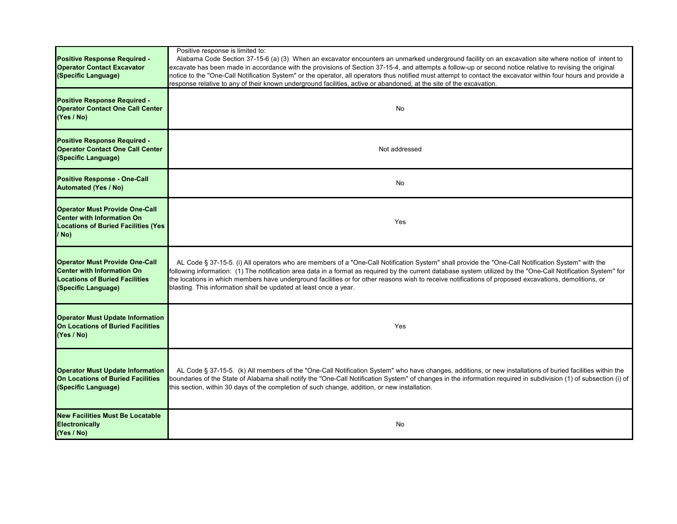| Positive Response Required -<br><b>Operator Contact Excavator</b><br>(Specific Language)                                                   | Positive response is limited to:<br>Alabama Code Section 37-15-6 (a) (3) When an excavator encounters an unmarked underground facility on an excavation site where notice of intent to<br>excavate has been made in accordance with the provisions of Section 37-15-4, and attempts a follow-up or second notice relative to revising the original<br>notice to the "One-Call Notification System" or the operator, all operators thus notified must attempt to contact the excavator within four hours and provide a<br>response relative to any of their known underground facilities, active or abandoned, at the site of the excavation. |
|--------------------------------------------------------------------------------------------------------------------------------------------|----------------------------------------------------------------------------------------------------------------------------------------------------------------------------------------------------------------------------------------------------------------------------------------------------------------------------------------------------------------------------------------------------------------------------------------------------------------------------------------------------------------------------------------------------------------------------------------------------------------------------------------------|
| <b>Positive Response Required -</b><br><b>Operator Contact One Call Center</b><br>(Yes / No)                                               | No                                                                                                                                                                                                                                                                                                                                                                                                                                                                                                                                                                                                                                           |
| Positive Response Required -<br><b>Operator Contact One Call Center</b><br>(Specific Language)                                             | Not addressed                                                                                                                                                                                                                                                                                                                                                                                                                                                                                                                                                                                                                                |
| <b>Positive Response - One-Call</b><br><b>Automated (Yes / No)</b>                                                                         | No                                                                                                                                                                                                                                                                                                                                                                                                                                                                                                                                                                                                                                           |
| <b>Operator Must Provide One-Call</b><br><b>Center with Information On</b><br><b>Locations of Buried Facilities (Yes)</b><br>/ No)         | Yes                                                                                                                                                                                                                                                                                                                                                                                                                                                                                                                                                                                                                                          |
| <b>Operator Must Provide One-Call</b><br><b>Center with Information On</b><br><b>Locations of Buried Facilities</b><br>(Specific Language) | AL Code § 37-15-5. (i) All operators who are members of a "One-Call Notification System" shall provide the "One-Call Notification System" with the<br>following information: (1) The notification area data in a format as required by the current database system utilized by the "One-Call Notification System" for<br>the locations in which members have underground facilities or for other reasons wish to receive notifications of proposed excavations, demolitions, or<br>blasting. This information shall be updated at least once a year.                                                                                         |
| <b>Operator Must Update Information</b><br>On Locations of Buried Facilities<br>(Yes / No)                                                 | Yes                                                                                                                                                                                                                                                                                                                                                                                                                                                                                                                                                                                                                                          |
| <b>Operator Must Update Information</b><br>On Locations of Buried Facilities<br>(Specific Language)                                        | AL Code § 37-15-5. (k) All members of the "One-Call Notification System" who have changes, additions, or new installations of buried facilities within the<br>boundaries of the State of Alabama shall notify the "One-Call Notification System" of changes in the information required in subdivision (1) of subsection (i) of<br>this section, within 30 days of the completion of such change, addition, or new installation.                                                                                                                                                                                                             |
| <b>New Facilities Must Be Locatable</b><br><b>Electronically</b><br>(Yes / No)                                                             | No                                                                                                                                                                                                                                                                                                                                                                                                                                                                                                                                                                                                                                           |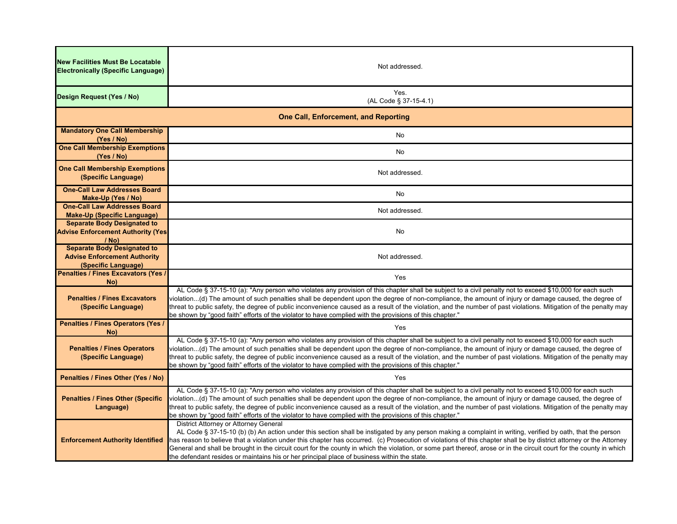| <b>New Facilities Must Be Locatable</b><br><b>Electronically (Specific Language)</b>             | Not addressed.                                                                                                                                                                                                                                                                                                                                                                                                                                                                                                                                                                                                                                    |  |
|--------------------------------------------------------------------------------------------------|---------------------------------------------------------------------------------------------------------------------------------------------------------------------------------------------------------------------------------------------------------------------------------------------------------------------------------------------------------------------------------------------------------------------------------------------------------------------------------------------------------------------------------------------------------------------------------------------------------------------------------------------------|--|
| Design Request (Yes / No)                                                                        | Yes.<br>(AL Code § 37-15-4.1)                                                                                                                                                                                                                                                                                                                                                                                                                                                                                                                                                                                                                     |  |
| <b>One Call, Enforcement, and Reporting</b>                                                      |                                                                                                                                                                                                                                                                                                                                                                                                                                                                                                                                                                                                                                                   |  |
| <b>Mandatory One Call Membership</b><br>(Yes / No)                                               | No                                                                                                                                                                                                                                                                                                                                                                                                                                                                                                                                                                                                                                                |  |
| <b>One Call Membership Exemptions</b><br>(Yes / No)                                              | No                                                                                                                                                                                                                                                                                                                                                                                                                                                                                                                                                                                                                                                |  |
| <b>One Call Membership Exemptions</b><br>(Specific Language)                                     | Not addressed.                                                                                                                                                                                                                                                                                                                                                                                                                                                                                                                                                                                                                                    |  |
| <b>One-Call Law Addresses Board</b><br>Make-Up (Yes / No)                                        | No                                                                                                                                                                                                                                                                                                                                                                                                                                                                                                                                                                                                                                                |  |
| <b>One-Call Law Addresses Board</b><br><b>Make-Up (Specific Language)</b>                        | Not addressed.                                                                                                                                                                                                                                                                                                                                                                                                                                                                                                                                                                                                                                    |  |
| <b>Separate Body Designated to</b><br><b>Advise Enforcement Authority (Yes</b><br>$/$ No)        | No                                                                                                                                                                                                                                                                                                                                                                                                                                                                                                                                                                                                                                                |  |
| <b>Separate Body Designated to</b><br><b>Advise Enforcement Authority</b><br>(Specific Language) | Not addressed.                                                                                                                                                                                                                                                                                                                                                                                                                                                                                                                                                                                                                                    |  |
| <b>Penalties / Fines Excavators (Yes /</b><br>No)                                                | Yes                                                                                                                                                                                                                                                                                                                                                                                                                                                                                                                                                                                                                                               |  |
| <b>Penalties / Fines Excavators</b><br>(Specific Language)                                       | AL Code § 37-15-10 (a): "Any person who violates any provision of this chapter shall be subject to a civil penalty not to exceed \$10,000 for each such<br>violation(d) The amount of such penalties shall be dependent upon the degree of non-compliance, the amount of injury or damage caused, the degree of<br>threat to public safety, the degree of public inconvenience caused as a result of the violation, and the number of past violations. Mitigation of the penalty may<br>be shown by "good faith" efforts of the violator to have complied with the provisions of this chapter."                                                   |  |
| <b>Penalties / Fines Operators (Yes /</b><br>No)                                                 | Yes                                                                                                                                                                                                                                                                                                                                                                                                                                                                                                                                                                                                                                               |  |
| <b>Penalties / Fines Operators</b><br>(Specific Language)                                        | AL Code § 37-15-10 (a): "Any person who violates any provision of this chapter shall be subject to a civil penalty not to exceed \$10,000 for each such<br>violation(d) The amount of such penalties shall be dependent upon the degree of non-compliance, the amount of injury or damage caused, the degree of<br>threat to public safety, the degree of public inconvenience caused as a result of the violation, and the number of past violations. Mitigation of the penalty may<br>be shown by "good faith" efforts of the violator to have complied with the provisions of this chapter."                                                   |  |
| Penalties / Fines Other (Yes / No)                                                               | Yes                                                                                                                                                                                                                                                                                                                                                                                                                                                                                                                                                                                                                                               |  |
| <b>Penalties / Fines Other (Specific</b><br>Language)                                            | AL Code § 37-15-10 (a): "Any person who violates any provision of this chapter shall be subject to a civil penalty not to exceed \$10,000 for each such<br>violation(d) The amount of such penalties shall be dependent upon the degree of non-compliance, the amount of injury or damage caused, the degree of<br>threat to public safety, the degree of public inconvenience caused as a result of the violation, and the number of past violations. Mitigation of the penalty may<br>be shown by "good faith" efforts of the violator to have complied with the provisions of this chapter."                                                   |  |
| <b>Enforcement Authority Identified</b>                                                          | District Attorney or Attorney General<br>AL Code § 37-15-10 (b) (b) An action under this section shall be instigated by any person making a complaint in writing, verified by oath, that the person<br>has reason to believe that a violation under this chapter has occurred. (c) Prosecution of violations of this chapter shall be by district attorney or the Attorney<br>General and shall be brought in the circuit court for the county in which the violation, or some part thereof, arose or in the circuit court for the county in which<br>the defendant resides or maintains his or her principal place of business within the state. |  |